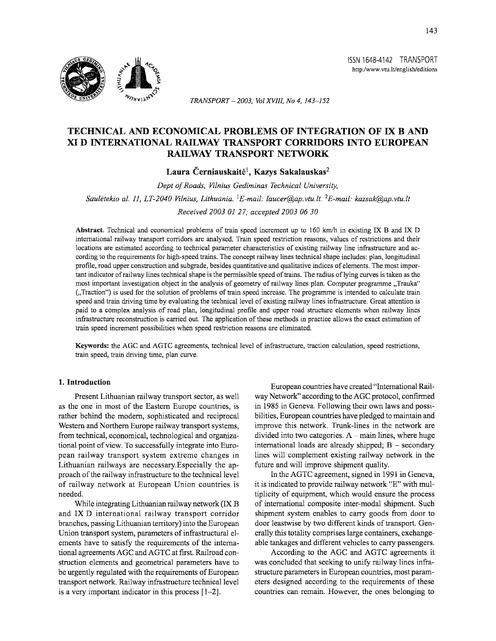

*TRANSPORT- 2003, Vol XVIII, No 4, 143-152* 

# TECHNICAL AND ECONOMICAL PROBLEMS OF INTEGRATION OF IX B AND XI D INTERNATIONAL RAILWAY TRANSPORT CORRIDORS INTO EUROPEAN RAILWAY TRANSPORT NETWORK

## Laura Černiauskaitė<sup>l</sup>, Kazys Sakalauskas<sup>2</sup>

*Dept of Roads, Vilnius Gediminas Technical University, Sauletekio al. 11, LT-2040 Vilnius, Lithuania. <sup>1</sup> E-mail: laucer@ap.vtu.lt. <sup>2</sup> E-mail: kazsak@ap.vtu.lt Received 2003 OJ 27; accepted 2003 06 30* 

Abstract. Technical and economical problems of train speed increment up to 160 km/h in existing IX B and IX D international railway transport corridors are analysed. Train speed restriction reasons, values of restrictions and their locations are estimated according to technical parameter characteristics of existing railway line infrastructure and according to the requirements for high-speed trains. The concept railway lines technical shape includes: plan, longitudinal profile, road upper construction and subgrade, besides quantitative and qualitative indices of elements. The most important indicator of railway lines technical shape is the permissible speed of trains. The radius oflying curves is taken as the most important investigation object in the analysis of geometry of railway lines plan. Computer programme "Trauka" (,Traction") is used for the solution of problems of train speed increase. The programme is intended to calculate train speed and train driving time by evaluating the technical level of existing railway lines infrastructure. Great attention is paid to a complex analysis of road plan, longitudinal profile and upper road structure elements when railway lines infrastructure reconstruction is carried out. The application of these methods in practice allows the exact estimation of train speed increment possibilities when speed restriction reasons are eliminated.

Keywords: the AGC and AGTC agreements, technical level of infrastructure, traction calculation, speed restrictions, train speed, train driving time, plan curve.

#### 1. Introduction

Present Lithuanian railway transport sector, as well as the one in most of the Eastern Europe countries, is rather behind the modem, sophisticated and reciprocal Western and Northern Europe railway transport systems, from technical, economical, technological and organizational point of view. To successfully integrate into European railway transport system extreme changes in Lithuanian railways are necessary.Especially the approach of the railway infrastructure to the technical level of railway network at European Union countries is needed.

While integrating Lithuanian railway network (IX B and IX D international railway transport corridor branches, passing Lithuanian territory) into the European Union transport system, parameters of infrastructural elements have to satisfy the requirements of the international agreements AGC and AGTC at first. Railroad construction elements and geometrical parameters have to be urgently regulated with the requirements of European transport network. Railway infrastructure technical level is a very important indicator in this process  $[1-2]$ .

European countries have created "International Railway Network" according to the AGC protocol, confirmed in 1985 in Geneva. Following their own laws and possibilities, European countries have pledged to maintain and improve this network. Trunk-lines in the network are divided into two categories.  $A$  - main lines, where huge international loads are already shipped;  $B -$  secondary lines will complement existing railway network in the future and will improve shipment quality.

In the AGTC agreement, signed in 1991 in Geneva, it is indicated to provide railway network "E" with multiplicity of equipment, which would ensure the process of international composite inter-modal shipment. Such shipment system enables to carry goods from door to door leastwise by two different kinds of transport. Generally this totality comprises large containers, exchangeable tankages and different vehicles to carry passengers.

According to the AGC and AGTC agreements it was concluded that seeking to unify railway lines infrastructure parameters in European countries, most parameters designed according to the requirements of these countries can remain. However, the ones belonging to

ISSN 1648-4142 TRANSPORT http:/www.vtu.lt/english/editions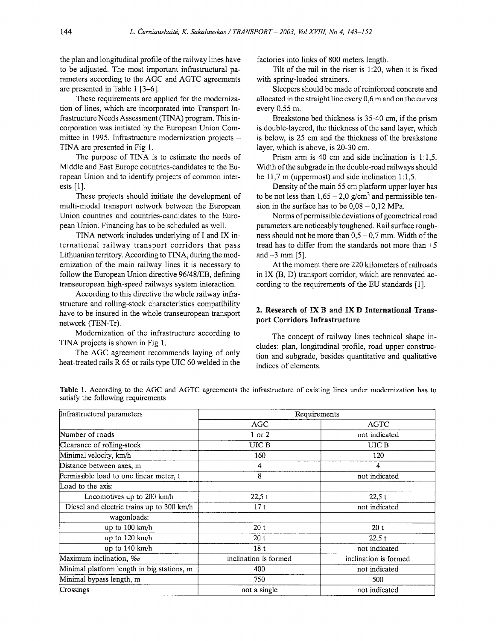the plan and longitudinal profile of the railway lines have to be adjusted. The most important infrastructural parameters according to the AGC and AGTC agreements are presented in Table 1 [3-6].

These requirements are applied for the modernization of lines, which are incorporated into Transport Infrastructure Needs Assessment (TINA) program. This incorporation was initiated by the European Union Committee in 1995. Infrastructure modernization projects -TINA are presented in Fig 1.

The purpose of TINA is to estimate the needs of Middle and East Europe countries-candidates to the European Union and to identify projects of common interests [1].

These projects should initiate the development of multi-modal transport network between the European Union countries and countries-candidates to the European Union. Financing has to be scheduled as well.

TINA network includes underlying of I and IX international railway transport corridors that pass Lithuanian territory. According to TINA, during the modernization of the main railway lines it is necessary to follow the European Union directive 96/48/EB, defining transeuropean high-speed railways system interaction.

According to this directive the whole railway infrastructure and rolling-stock characteristics compatibility have to be insured in the whole transeuropean transport network (TEN-Tr).

Modernization of the infrastructure according to TINA projects is shown in Fig 1.

The AGC agreement recommends laying of only heat-treated rails R 65 or rails type UIC 60 welded in the factories into links of 800 meters length.

Tilt of the rail in the riser is 1:20, when it is fixed with spring-loaded strainers.

Sleepers should be made of reinforced concrete and allocated in the straight line every 0,6 m and on the curves every 0,55 m.

Breakstone bed thickness is 35-40 em, if the prism is double-layered, the thickness of the sand layer, which is below, is 25 cm and the thickness of the breakstone layer, which is above, is 20-30 em.

Prism arm is 40 cm and side inclination is  $1:1,5$ . Width of the subgrade in the double-road railways should be 11,7 m (uppermost) and side inclination 1:1,5.

Density of the main 55 em platform upper layer has to be not less than  $1.65-2.0$  g/cm<sup>3</sup> and permissible tension in the surface has to be  $0.08-0.12$  MPa.

Norms of permissible deviations of geometrical road parameters are noticeably toughened. Rail surface roughness should not be more than  $0.5-0.7$  mm. Width of the tread has to differ from the standards not more than  $+5$ and  $-3$  mm  $[5]$ .

At the moment there are 220 kilometers of railroads in IX (B, D) transport corridor, which are renovated according to the requirements of the EU standards [1].

## **2. Research** of IX B **and** IX D **International Trans**port **Corridors Infrastructure**

The concept of railway lines technical shape includes: plan, longitudinal profile, road upper construction and subgrade, besides quantitative and qualitative indices of elements.

**Table** 1. According to the AGC and AGTC agreements the infrastructure of existing lines under modernization has to satisfy the following requirements

| Infrastructural parameters                 | Requirements          |                       |  |  |  |  |  |
|--------------------------------------------|-----------------------|-----------------------|--|--|--|--|--|
|                                            | <b>AGC</b>            | <b>AGTC</b>           |  |  |  |  |  |
| Number of roads                            | 1 or 2                | not indicated         |  |  |  |  |  |
| Clearance of rolling-stock                 | UIC B                 | UIC B                 |  |  |  |  |  |
| Minimal velocity, km/h                     | 160                   | 120                   |  |  |  |  |  |
| Distance between axes, m                   | 4                     | 4                     |  |  |  |  |  |
| Permissible load to one linear meter, t    | 8                     | not indicated         |  |  |  |  |  |
| Load to the axis:                          |                       |                       |  |  |  |  |  |
| Locomotives up to 200 km/h                 | $22,5$ t              | $22,5$ t              |  |  |  |  |  |
| Diesel and electric trains up to 300 km/h  | 17 <sub>t</sub>       | not indicated         |  |  |  |  |  |
| wagonloads:                                |                       |                       |  |  |  |  |  |
| up to 100 km/h                             | 20 t                  | 20 <sub>t</sub>       |  |  |  |  |  |
| up to 120 km/h                             | 20 <sub>t</sub>       | 22.5t                 |  |  |  |  |  |
| up to $140 \text{ km/h}$                   | 18 <sub>t</sub>       | not indicated         |  |  |  |  |  |
| Maximum inclination, ‰                     | inclination is formed | inclination is formed |  |  |  |  |  |
| Minimal platform length in big stations, m | 400                   | not indicated         |  |  |  |  |  |
| Minimal bypass length, m                   | 750                   | 500                   |  |  |  |  |  |
| Crossings                                  | not a single          | not indicated         |  |  |  |  |  |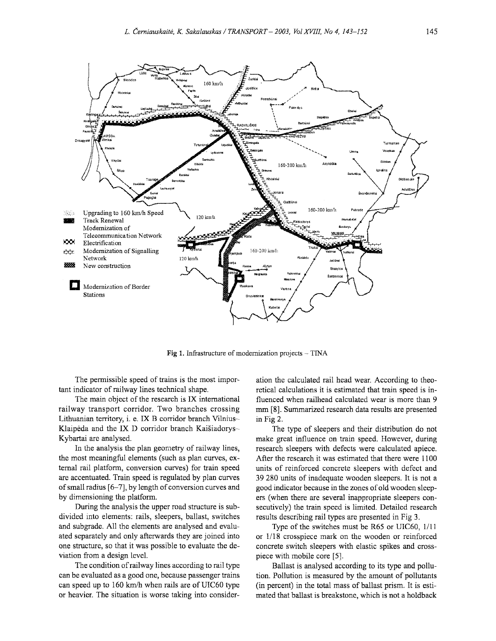

Fig 1. Infrastructure of modernization projects- TINA

The permissible speed of trains is the most important indicator of railway lines technical shape.

The main object of the research is IX international railway transport corridor. Two branches crossing Lithuanian territory, i. e. IX B corridor branch Vilnius-Klaipeda and the IX D corridor branch Kaisiadorys-Kybartai are analysed.

In the analysis the plan geometry of railway lines, the most meaningful elements (such as plan curves, external rail platform, conversion curves) for train speed are accentuated. Train speed is regulated by plan curves of small radius  $[6-7]$ , by length of conversion curves and by dimensioning the platform.

During the analysis the upper road structure is subdivided into elements: rails, sleepers, ballast, switches and subgrade. All the elements are analysed and evaluated separately and only afterwards they are joined into one structure, so that it was possible to evaluate the deviation from a design level.

The condition of railway lines according to rail type can be evaluated as a good one, because passenger trains can speed up to  $160 \text{ km/h}$  when rails are of UIC60 type or heavier. The situation is worse taking into consideration the calculated rail head wear. According to theoretical calculations it is estimated that train speed is influenced when railhead calculated wear is more than 9 mm [8]. Summarized research data results are presented in Fig 2.

The type of sleepers and their distribution do not make great influence on train speed. However, during research sleepers with defects were calculated apiece. After the research it was estimated that there were 1100 units of reinforced concrete sleepers with defect and 39 280 units of inadequate wooden sleepers. It is not a good indicator because in the zones of old wooden sleepers (when there are several inappropriate sleepers consecutively) the train speed is limited. Detailed research results describing rail types are presented in Fig 3.

Type of the switches must be R65 or UIC60, 1/11 or 1/18 crosspiece mark on the wooden or reinforced concrete switch sleepers with elastic spikes and crosspiece with mobile core [5].

Ballast is analysed according to its type and pollution. Pollution is measured by the amount of pollutants (in percent) in the total mass of ballast prism. It is estimated that ballast is breakstone, which is not a holdback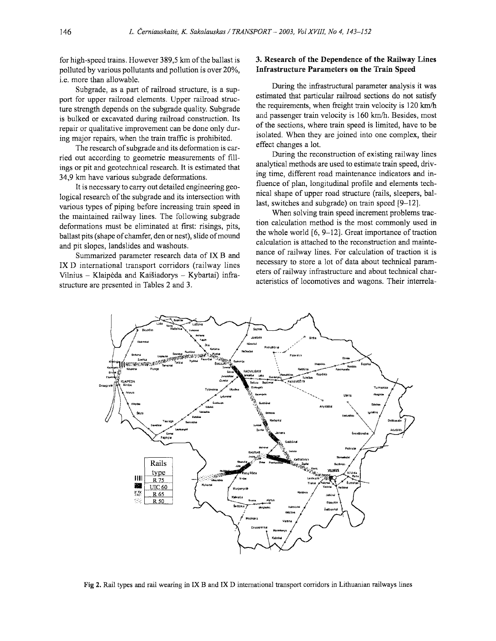for high-speed trains. However 389,5 km of the ballast is polluted by various pollutants and pollution is over 20%, i.e. more than allowable.

Subgrade, as a part of railroad structure, is a support for upper railroad elements. Upper railroad structure strength depends on the subgrade quality. Subgrade is bulked or excavated during railroad construction. Its repair or qualitative improvement can be done only during major repairs, when the train traffic is prohibited.

The research of subgrade and its deformation is carried out according to geometric measurements of fillings or pit and geotechnical research. It is estimated that 34,9 km have various subgrade deformations.

It is necessary to carry out detailed engineering geological research of the subgrade and its intersection with various types of piping before increasing train speed in the maintained railway lines. The following subgrade defonnations must be eliminated at first: risings, pits, ballast pits (shape of chamfer, den or nest), slide of mound and pit slopes, landslides and washouts.

Summarized parameter research data of IX B and IX D international transport corridors (railway lines Vilnius - Klaipeda and Kaisiadorys - Kybartai) infrastructure are presented in Tables 2 and 3.

### 3. Research of the Dependence of the Railway Lines Infrastructure Parameters on the Train Speed

During the infrastructural parameter analysis it was estimated that particular railroad sections do not satisfy the requirements, when freight train velocity is 120 km/h and passenger train velocity is 160 km/h. Besides, most of the sections, where train speed is limited, have to be isolated. When they are joined into one complex, their effect changes a lot.

During the reconstruction of existing railway lines analytical methods are used to estimate train speed, driving time, different road maintenance indicators and influence of plan, longitudinal profile and elements technical shape of upper road structure (rails, sleepers, ballast, switches and subgrade) on train speed [9-12].

When solving train speed increment problems traction calculation method is the most commonly used in the whole world [6, 9-12]. Great importance of traction calculation is attached to the reconstruction and maintenance of railway lines. For calculation of traction it is necessary to store a lot of data about technical parameters of railway infrastructure and about technical characteristics of locomotives and wagons. Their interrela-



Fig 2. Rail types and rail wearing in IX B and IX D international transport corridors in Lithuanian railways lines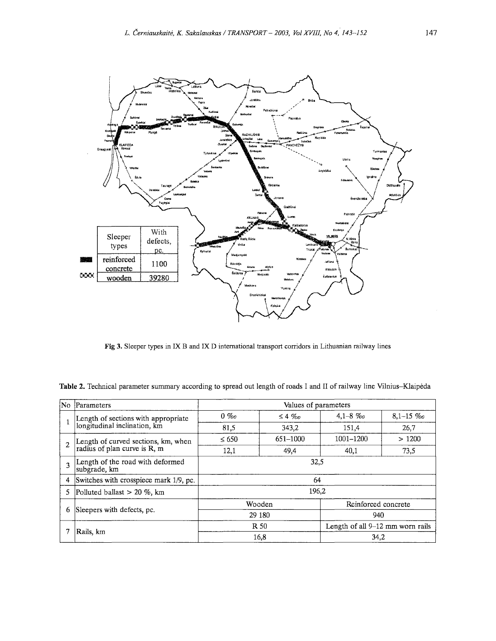

Fig **3.** Sleeper types in IX B and IX D international transport corridors in Lithuanian railway lines

| Table 2. Technical parameter summary according to spread out length of roads I and II of railway line Vilnius–Klaipėda |  |  |  |  |
|------------------------------------------------------------------------------------------------------------------------|--|--|--|--|
|------------------------------------------------------------------------------------------------------------------------|--|--|--|--|

| No. | Parameters                                                          | Values of parameters |            |                                  |            |  |  |  |  |
|-----|---------------------------------------------------------------------|----------------------|------------|----------------------------------|------------|--|--|--|--|
|     |                                                                     | $0\%$                | $\leq 4$ % | $4,1 - 8, \%$                    | $8,1-15\%$ |  |  |  |  |
|     | Length of sections with appropriate<br>longitudinal inclination, km | 81.5                 | 343,2      | 151.4                            | 26,7       |  |  |  |  |
|     |                                                                     | $\leq 650$           | 651-1000   | 1001-1200                        | >1200      |  |  |  |  |
|     | Length of curved sections, km, when<br>radius of plan curve is R, m | 12,1                 | 49,4       | 40,1                             | 73,5       |  |  |  |  |
|     | Length of the road with deformed<br>subgrade, km                    | 32,5                 |            |                                  |            |  |  |  |  |
| 4   | Switches with crosspiece mark 1/9, pc.                              | 64                   |            |                                  |            |  |  |  |  |
|     | Polluted ballast $> 20 \%$ , km                                     | 196.2                |            |                                  |            |  |  |  |  |
|     | Sleepers with defects, pc.                                          |                      | Wooden     | Reinforced concrete              |            |  |  |  |  |
|     |                                                                     |                      | 29 180     | 940                              |            |  |  |  |  |
|     |                                                                     |                      | R 50       | Length of all 9–12 mm worn rails |            |  |  |  |  |
|     | Rails, km                                                           |                      | 16.8       | 34.2                             |            |  |  |  |  |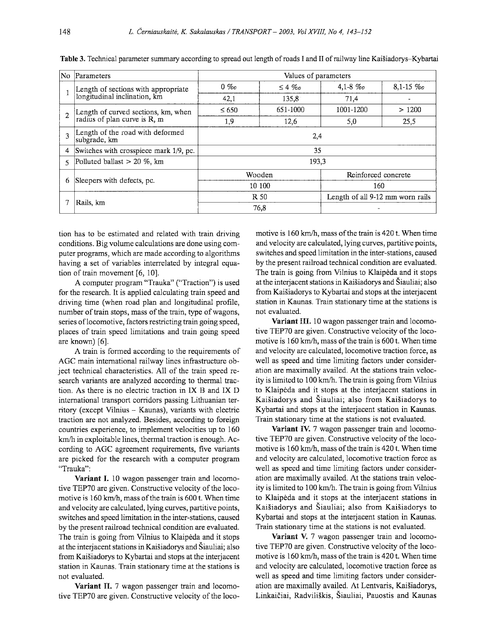| No | Parameters                                                          | Values of parameters |            |                                  |            |  |  |  |  |
|----|---------------------------------------------------------------------|----------------------|------------|----------------------------------|------------|--|--|--|--|
|    | Length of sections with appropriate<br>longitudinal inclination, km | $0\%$                | $<$ 4 $\%$ | $4,1-8$ ‰                        | $8,1-15\%$ |  |  |  |  |
|    |                                                                     | 42,1                 | 135.8      | 71,4                             |            |  |  |  |  |
|    | Length of curved sections, km, when                                 | $\leq 650$           | 651-1000   | 1001-1200                        | >1200      |  |  |  |  |
|    | radius of plan curve is R, m                                        | 1,9                  | 12.6       | 5,0                              | 25,5       |  |  |  |  |
|    | Length of the road with deformed<br>subgrade, km                    | 2,4                  |            |                                  |            |  |  |  |  |
| 4  | Switches with crosspiece mark 1/9, pc.                              | 35                   |            |                                  |            |  |  |  |  |
| 5. | Polluted ballast $> 20$ %, km                                       | 193,3                |            |                                  |            |  |  |  |  |
|    |                                                                     |                      | Wooden     | Reinforced concrete              |            |  |  |  |  |
| 6. | Sleepers with defects, pc.                                          |                      | 10 100     | 160                              |            |  |  |  |  |
|    |                                                                     |                      | R 50       | Length of all 9-12 mm worn rails |            |  |  |  |  |
|    | Rails, km                                                           |                      | 76,8       | ۰                                |            |  |  |  |  |

**Table** 3. Technical parameter summary according to spread out length of roads I and II of railway line Kaisiadorys-Kybartai

tion has to be estimated and related with train driving conditions. Big volume calculations are done using computer programs, which are made according to algorithms having a set of variables interrelated by integral equation of train movement [6, 10].

A computer program "Trauka" ('Traction") is used for the research. It is applied calculating train speed and driving time (when road plan and longitudinal profile, number of train stops, mass of the train, type of wagons, series of locomotive, factors restricting train going speed, places of train speed limitations and train going speed are known) [6].

A train is formed according to the requirements of AGC main international railway lines infrastructure object technical characteristics. All of the train speed research variants are analyzed according to thermal traction. As there is no electric traction in IX B and IX D international transport corridors passing Lithuanian territory (except Vilnius- Kaunas), variants with electric traction are not analyzed. Besides, according to foreign countries experience, to implement velocities up to 160 km/h in exploitable lines, thermal traction is enough. According to AGC agreement requirements, five variants are picked for the research with a computer program "Trauka":

**Variant I.** 10 wagon passenger train and locomotive TEP70 are given. Constructive velocity of the locomotive is  $160 \text{ km/h}$ , mass of the train is  $600 \text{ t}$ . When time and velocity are calculated, lying curves, partitive points, switches and speed limitation in the inter-stations, caused by the present railroad technical condition are evaluated. The train is going from Vilnius to Klaipeda and it stops at the interjacent stations in Kaisiadorys and Siauliai; also from Kaisiadorys to Kybartai and stops at the interjacent station in Kaunas. Train stationary time at the stations is not evaluated.

**Variant** II. 7 wagon passenger train and locomotive TEP70 are given. Constructive velocity of the loco-

motive is  $160 \text{ km/h}$ , mass of the train is 420 t. When time and velocity are calculated, lying curves, partitive points, switches and speed limitation in the inter-stations, caused by the present railroad technical condition are evaluated. The train is going from Vilnius to Klaipeda and it stops at the interjacent stations in Kaisiadorys and Siauliai; also from Kaisiadorys to Kybartai and stops at the interjacent station in Kaunas. Train stationary time at the stations is not evaluated.

Variant III. 10 wagon passenger train and locomotive TEP70 are given. Constructive velocity of the locomotive is 160 km/h, mass of the train is 600 t. When time and velocity are calculated, locomotive traction force, as well as speed and time limiting factors under consideration are maximally availed. At the stations train velocity is limited to 100 km/h. The train is going from Vilnius to Klaipeda and it stops at the interjacent stations in Kaisiadorys and Siauliai; also from Kaisiadorys to Kybartai and stops at the interjacent station in Kaunas. Train stationary time at the stations is not evaluated.

**Variant** IV. 7 wagon passenger train and locomotive TEP70 are given. Constructive velocity of the locomotive is  $160 \text{ km/h}$ , mass of the train is 420 t. When time and velocity are calculated, locomotive traction force as well as speed and time limiting factors under consideration are maximally availed. At the stations train velocity is limited to 100 km/h. The train is going from Vilnius to Klaipeda and it stops at the interjacent stations in Kaisiadorys and Siauliai; also from Kaisiadorys to Kybartai and stops at the interjacent station in Kaunas. Train stationary time at the stations is not evaluated.

**Variant** V. 7 wagon passenger train and locomotive TEP70 are given. Constructive velocity of the locomotive is  $160 \text{ km/h}$ , mass of the train is 420 t. When time and velocity are calculated, locomotive traction force as well as speed and time limiting factors under consideration are maximally availed. At Lentvaris, Kaisiadorys, Linkaiciai, Radviliskis, Siauliai, Pauostis and Kaunas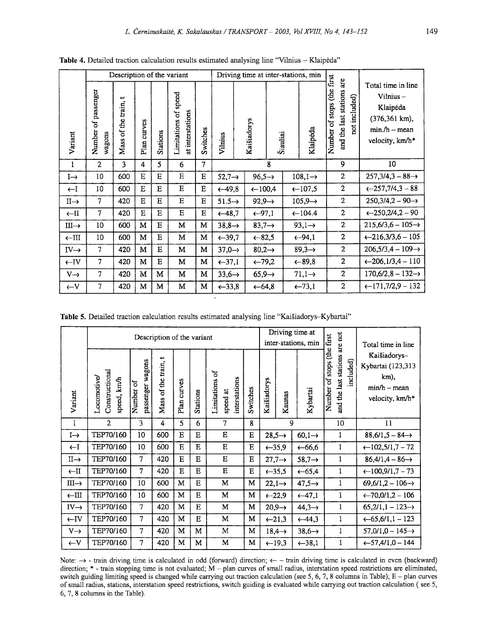|                  |                                  |                               |             |             | Description of the variant               |             | Driving time at inter-stations, min |                                          |                                          |                    |                     |                     | first                         |                                            |                                                                                                  |                |                             |
|------------------|----------------------------------|-------------------------------|-------------|-------------|------------------------------------------|-------------|-------------------------------------|------------------------------------------|------------------------------------------|--------------------|---------------------|---------------------|-------------------------------|--------------------------------------------|--------------------------------------------------------------------------------------------------|----------------|-----------------------------|
| Variant          | of passenger<br>Number<br>wagons | ى<br>train,<br>of the<br>Mass | Plan curves | Stations    | Limitations of speed<br>at interstations | Switches    | Vilnius                             | Kaišiadorys                              |                                          | Šiauliai           |                     | Klaipeda            | (the<br>Number of stops       | and the last stations are<br>not included) | Total time in line<br>Vilnius-<br>Klaipėda<br>(376,361 km),<br>$min.h - mean$<br>velocity, km/h* |                |                             |
| 1                | $\overline{2}$                   | 3                             | 4           | 5           | 6                                        | 7           | 8                                   |                                          |                                          |                    |                     |                     |                               | 9                                          | 10                                                                                               |                |                             |
| $I \rightarrow$  | 10 <sup>°</sup>                  | 600                           | E           | E           | Ε                                        | Е           |                                     | $52,7 \rightarrow$<br>$96,5 \rightarrow$ |                                          |                    | $108,1 \rightarrow$ |                     |                               | 2                                          | $257,3/4,3-88 \rightarrow$                                                                       |                |                             |
| $\leftarrow$ I   | 10                               | 600                           | Е           | $\mathbf E$ | E                                        | Е           |                                     | $-49,8$                                  |                                          | ← 100,4            |                     | $\leftarrow$ 107,5  |                               | $\boldsymbol{2}$                           | $-257,7/4,3-88$                                                                                  |                |                             |
| $II \rightarrow$ | 7                                | 420                           | E           | $\mathbf E$ | $\mathbf E$                              | $\mathbf E$ | $51.5 \rightarrow$                  |                                          | $92,9 \rightarrow$                       |                    |                     | $105,9 \rightarrow$ |                               | $\mathbf{2}$                               | $250,3/4,2-90 \rightarrow$                                                                       |                |                             |
| $II \rightarrow$ | $\overline{7}$                   | 420                           | E           | E           | $\mathbf E$                              | E           | $-48,7$                             |                                          | $-97,1$<br>$-104.4$                      |                    |                     | $\overline{2}$      | $-250,2/4,2-90$               |                                            |                                                                                                  |                |                             |
| $III\rightarrow$ | 10                               | 600                           | M           | E           | M                                        | M           | $38,8 \rightarrow$                  |                                          | $93,1 \rightarrow$<br>$83,7 \rightarrow$ |                    |                     | $\overline{c}$      | $215,6/3,6 - 105 \rightarrow$ |                                            |                                                                                                  |                |                             |
| $\leftarrow$ III | 10                               | 600                           | М           | Ε           | M                                        | M           | $\leftarrow 39,7$                   |                                          | $-82,5$                                  |                    |                     |                     |                               | $-94,1$                                    |                                                                                                  | $\overline{c}$ | $-216,3/3,6-105$            |
| $IV \rightarrow$ | $\overline{7}$                   | 420                           | М           | Е           | M                                        | M           | $37,0 \rightarrow$                  |                                          | $80,2 \rightarrow$                       |                    |                     | $89,3 \rightarrow$  |                               | $\overline{c}$                             | $206,5/3,4-109 \rightarrow$                                                                      |                |                             |
| $\leftarrow$ IV  | 7                                | 420                           | M           | E           | M                                        | M           | $-37,1$                             |                                          | $-79,2$                                  |                    |                     |                     |                               | $\leftarrow 89,8$                          |                                                                                                  | $\overline{c}$ | $-206, 1/3, 4 - 110$        |
| $V \rightarrow$  | 7                                | 420                           | M           | M           | M                                        | M           |                                     | $33,6 \rightarrow$                       |                                          | $65,9 \rightarrow$ |                     |                     |                               | $71,1 \rightarrow$                         |                                                                                                  | 2              | $170,6/2,8-132 \rightarrow$ |
| $\leftarrow$ V   | 7                                | 420                           | M           | M           | M                                        | M           |                                     | $\leftarrow$ 33,8<br>$-64,8$             |                                          |                    |                     | $-73,1$             |                               | $\overline{2}$                             | $-171,7/2,9-132$                                                                                 |                |                             |

Table 4. Detailed traction calculation results estimated analysing line "Vilnius - Klaipeda"

Table 5. Detailed traction calculation results estimated analysing line "Kaisiadorys-Kybartai"

 $\sim$ 

|                         | Description of the variant                  |                                     |                            |             |                 |                                             |          |             |                    | Driving time at<br>inter-stations, min | first                                                                         | Total time in line                                                             |
|-------------------------|---------------------------------------------|-------------------------------------|----------------------------|-------------|-----------------|---------------------------------------------|----------|-------------|--------------------|----------------------------------------|-------------------------------------------------------------------------------|--------------------------------------------------------------------------------|
| Variant                 | Constructional<br>Locomotive<br>speed, km/h | wagons<br>ិច<br>passenger<br>Number | پ<br>of the train,<br>Mass | Plan curves | <b>Stations</b> | Limitations of<br>interstations<br>speed at | Switches | Kaišiadorys | Kaunas             | Kybartai                               | last stations are not<br>(the<br>included)<br>stops<br>á<br>Number<br>and the | Kaišiadorys-<br>Kybartai (123,313<br>km),<br>$min/h - mean$<br>velocity, km/h* |
| $\mathbf{1}$            | $\overline{2}$                              | 3                                   | 4                          | 5           | 6               | 7                                           | 8        |             | 9                  |                                        | 10                                                                            | 11                                                                             |
| $I \rightarrow$         | TEP70/160                                   | 10                                  | 600                        | E           | Ε               | E                                           | E        |             | $28,5 \rightarrow$ | $60,1 \rightarrow$                     | $\bf{1}$                                                                      | $88,6/1,5 - 84 \rightarrow$                                                    |
| $\leftarrow$ I          | TEP70/160                                   | 10                                  | 600                        | E           | E               | Е                                           | Е        |             | $-35,9$            | $\leftarrow$ 66,6                      | $\mathbf{1}$                                                                  | $\leftarrow$ 102,5/1,7 – 72                                                    |
| $II \rightarrow$        | TEP70/160                                   | 7                                   | 420                        | E           | Ε               | Е                                           | E        |             | $27,7 \rightarrow$ | $58,7 \rightarrow$                     | 1                                                                             | $86,4/1,4-86 \rightarrow$                                                      |
| $\mathbf{H}\rightarrow$ | TEP70/160                                   | 7                                   | 420                        | E           | Ε               | E                                           | E        |             | $-35,5$            | $\leftarrow 65,4$                      | 1                                                                             | $-100,9/1,7-73$                                                                |
| $III \rightarrow$       | TEP70/160                                   | 10                                  | 600                        | M           | Ε               | M                                           | M        |             | $22,1 \rightarrow$ | $47,5 \rightarrow$                     | $\mathbf{1}$                                                                  | $69,6/1,2 - 106 \rightarrow$                                                   |
| $\leftarrow$ III        | TEP70/160                                   | 10                                  | 600                        | M           | E               | M                                           | M        |             | $+22.9$            | $-47,1$                                | $\mathbf{1}$                                                                  | $-70,0/1,2-106$                                                                |
| $IV \rightarrow$        | TEP70/160                                   | 7                                   | 420                        | M           | Ε               | М                                           | M        |             | $20,9 \rightarrow$ | $44,3 \rightarrow$                     | $\mathbf 1$                                                                   | $65,2/1,1-123 \rightarrow$                                                     |
| $\leftarrow$ IV         | TEP70/160                                   | $\tau$                              | 420                        | M           | E               | M                                           | M        |             | $\leftarrow 21,3$  | $-44,3$                                | $\mathbf{1}$                                                                  | $\leftarrow 65, 6/1, 1 - 123$                                                  |
| $V \rightarrow$         | TEP70/160                                   | $\tau$                              | 420                        | М           | M               | M                                           | M        |             | $18,4 \rightarrow$ | $38.6 \rightarrow$                     | $\mathbf{I}$                                                                  | $57,0/1,0-145 \rightarrow$                                                     |
| $\leftarrow$ V          | TEP70/160                                   | 7                                   | 420                        | М           | M               | M                                           | M        |             | $-19,3$            | $-38,1$                                | 1                                                                             | $-57,4/1,0-144$                                                                |

Note:  $\rightarrow$  - train driving time is calculated in odd (forward) direction;  $\leftarrow$  - train driving time is calculated in even (backward) direction; \* - train stopping time is not evaluated; M -- plan curves of small radius, interstation speed restrictions are eliminated, switch guiding limiting speed is changed while carrying out traction calculation (see 5, 6, 7, 8 columns in Table);  $E$  – plan curves of small radius, stations, interstation speed restrictions, switch guiding is evaluated while carrying out traction calculation ( see 5, 6, 7, 8 columns in the Table).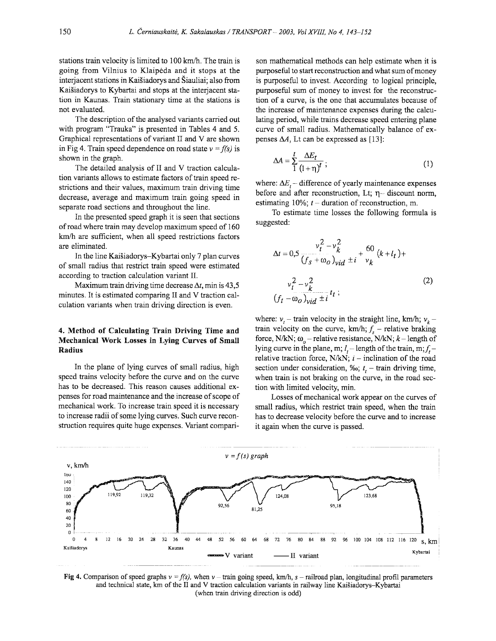stations train velocity is limited to 100 km/h. The train is going from Vilnius to Klaipeda and it stops at the interjacent stations in Kaisiadorys and Siauliai; also from Kaisiadorys to Kybartai and stops at the interjacent station in Kaunas. Train stationary time at the stations is not evaluated.

The description of the analysed variants carried out with program "Trauka" is presented in Tables 4 and 5. Graphical representations of variant II and V are shown in Fig 4. Train speed dependence on road state  $v = f(s)$  is shown in the graph.

The detailed analysis of II and V traction calculation variants allows to estimate factors of train speed restrictions and their values, maximum train driving time decrease, average and maximum train going speed in separate road sections and throughout the line.

In the presented speed graph it is seen that sections of road where train may develop maximum speed of 160 km/h are sufficient, when all speed restrictions factors are eliminated.

In the line Kaisiadorys-Kybartai only 7 plan curves of small radius that restrict train speed were estimated according to traction calculation variant II.

Maximum train driving time decrease  $\Delta t$ , min is 43,5 minutes. It is estimated comparing II and V traction calculation variants when train driving direction is even.

## **4. Method of Calculating Train Driving Time and Mechanical Work Losses in Lying Curves of Small Radius**

In the plane of lying curves of small radius, high speed trains velocity before the curve and on the curve has to be decreased. This reason causes additional expenses for road maintenance and the increase of scope of mechanical work. To increase train speed it is necessary to increase radii of some lying curves. Such curve reconstruction requires quite huge expenses. Variant compari-

son mathematical methods can help estimate when it is purposeful to start reconstruction and what sum of money is purposeful to invest. According to logical principle, purposeful sum of money to invest for the reconstruction of a curve, is the one that accumulates because of the increase of maintenance expenses during the calculating period, while trains decrease speed entering plane curve of small radius. Mathematically balance of expenses  $\Delta A$ , Lt can be expressed as [13]:

$$
\Delta A = \sum_{1}^{t} \frac{\Delta E_t}{\left(1 + \eta\right)^t} \tag{1}
$$

where:  $\Delta E$ , – difference of yearly maintenance expenses before and after reconstruction, Lt;  $\eta$ - discount norm, estimating 10%;  $t$  – duration of reconstruction, m.

To estimate time losses the following formula is suggested:

$$
\Delta t = 0.5 \frac{v_t^2 - v_k^2}{(f_s + \omega_o)_{vid}} \pm i + \frac{60}{v_k} (k + l_t) +
$$
  

$$
\frac{v_t^2 - v_k^2}{(f_t - \omega_o)_{vid} \pm i} t_t ;
$$
 (2)

where:  $v_t$  – train velocity in the straight line, km/h;  $v_k$  – train velocity on the curve,  $km/h$ ;  $f_s$  – relative braking force, N/kN;  $\omega_{0}$  – relative resistance, N/kN;  $k$  – length of lying curve in the plane, m;  $l_1$  -length of the train, m;  $f_1$  relative traction force, *N/kN; i-* inclination of the road section under consideration,  $\%$ <sub>o</sub>;  $t_{t}$  – train driving time, when train is not braking on the curve, in the road section with limited velocity, min.

Losses of mechanical work appear on the curves of small radius, which restrict train speed, when the train has to decrease velocity before the curve and to increase it again when the curve is passed.



**Fig 4.** Comparison of speed graphs  $v = f(s)$ , when  $v$  – train going speed, km/h, s – railroad plan, longitudinal profil parameters and technical state, km of the II and V traction calculation variants in railway line Kaisiadorys-Kybartai (when train driving direction is odd)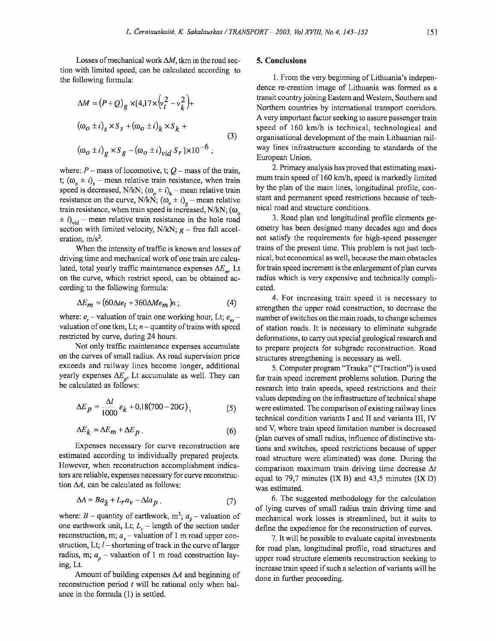Losses of mechanical work  $\Delta M$ , tkm in the road section with limited speed, can be calculated according to the following formula:

$$
\Delta M = (P + Q)_{g} \times [4, 17 \times (\nu_{t}^{2} - \nu_{k}^{2}) +
$$
  
\n
$$
(\omega_{0} \pm i)_{s} \times S_{s} + (\omega_{0} \pm i)_{k} \times S_{k} +
$$
  
\n
$$
(\omega_{0} \pm i)_{g} \times S_{g} - (\omega_{0} \pm i)_{vid} S_{r} \times 10^{-6} ;
$$
\n(3)

where:  $P$  – mass of locomotive, t;  $Q$  – mass of the train, t;  $(\omega_a \pm i)_s$  – mean relative train resistance, when train speed is decreased, N/kN;  $(\omega_o \pm i)_k$  - mean relative train resistance on the curve, N/kN;  $(\omega_0^2 \pm i)_{\text{g}}$  – mean relative train resistance, when train speed is increased,  $N / kN$ ;  $(\omega)$  $\pm i$ <sub>vid</sub> – mean relative train resistance in the hole road section with limited velocity, N/kN;  $g$  – free fall acceleration,  $m/s<sup>2</sup>$ .

When the intensity of traffic is known and losses of driving time and mechanical work of one train are calculated, total yearly traffic maintenance expenses  $\Delta E_{\mu\nu}$ . Lt on the curve, which restrict speed, can be obtained according to the following formula:

$$
\Delta E_m = (60\Delta t e_t + 360\Delta M e_m)n ; \qquad (4)
$$

where:  $e_t$  - valuation of train one working hour, Lt;  $e_m$  valuation of one tkm, Lt;  $n$  – quantity of trains with speed restricted by curve, during 24 hours.

Not only traffic maintenance expenses accumulate on the curves of small radius. As road supervision price exceeds and railway lines become longer, additional yearly expenses  $\Delta E_p$ , Lt accumulate as well. They can be calculated as follows:

$$
\Delta E_p = \frac{\Delta l}{1000} e_k + 0.18(700 - 20G); \tag{5}
$$

$$
\Delta E_k = \Delta E_m + \Delta E_p \,. \tag{6}
$$

Expenses necessary for curve reconstruction are estimated according to individually prepared projects. However, when reconstruction accomplishment indicators are reliable, expenses necessary for curve reconstruction  $\Delta A$ , can be calculated as follows:

$$
\Delta A = Ba_{\tilde{Z}} + L_r a_v - \Delta la_p \tag{7}
$$

where:  $B$  – quantity of earthwork, m<sup>3</sup>;  $a<sub>z</sub>$  – valuation of one earthwork unit, Lt;  $L_r$  – length of the section under reconstruction, m;  $a_v$  – valuation of 1 m road upper construction, Lt;  $l$  – shortening of track in the curve of larger radius, m;  $a_n$  - valuation of 1 m road construction laying, Lt.

Amount of building expenses  $\Delta A$  and beginning of reconstruction period *t* will be rational only when balance in the formula (1) is settled.

#### **5. Conclusions**

I. From the very beginning of Lithuania's independence re-creation image of Lithuania was formed as a transit country joining Eastern and Western, Southern and Northern countries by international transport corridors. A very important factor seeking to assure passenger train speed of 160 km/h is technical, technological and organisational development of the main Lithuanian railway lines infrastructure according to standards of the European Union.

2. Primary analysis has proved that estimating maximum train speed of 160 km/h, speed is markedly limited by the plan of the main lines, longitudinal profile, constant and permanent speed restrictions because of technical road and structure conditions.

3. Road plan and longitudinal profile elements geometry has been designed many decades ago and does not satisfy the requirements for high-speed passenger trains of the present time. This problem is not just technical, but economical as well, because the main obstacles for train speed increment is the enlargement of plan curves radius which is very expensive and technically complicated.

4. For increasing train speed it is necessary to strengthen the upper road construction, to decrease the number of switches on the main roads, to change schemes of station roads. It is necessary to eliminate subgrade deformations, to carry out special geological research and to prepare projects for subgrade reconstruction. Road structures strengthening is necessary as well.

5. Computer program "Trauka" ("Traction") is used for train speed increment problems solution. During the research into train speeds, speed restrictions and their values depending on the infrastructure of technical shape were estimated. The comparison of existing railway lines technical condition variants I and II and variants III, IV and V, where train speed limitation number is decreased (plan curves of small radius, influence of distinctive stations and switches, speed restrictions because of upper road structure were eliminated) was done. During the comparison maximum train driving time decrease  $\Delta t$ equal to 79,7 minutes (IX B) and 43,5 minutes (IX D) was estimated.

6. The suggested methodology for the calculation of lying curves of small radius train driving time and mechanical work losses is streamlined, but it suits to defme the expedience for the reconstruction of curves.

7. It will be possible to evaluate capital investments for road plan, longitudinal profile, road structures and upper road structure elements reconstruction seeking to increase train speed if such a selection of variants will be done in further proceeding.